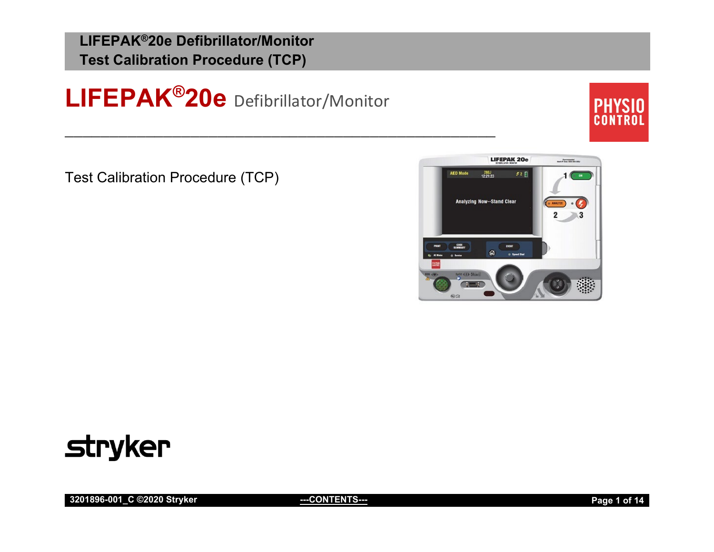**LIFEPAK®20e** Defibrillator/Monitor

\_\_\_\_\_\_\_\_\_\_\_\_\_\_\_\_\_\_\_\_\_\_\_\_\_\_\_\_\_\_\_\_\_\_\_\_\_\_\_\_\_\_\_\_\_\_\_\_



Test Calibration Procedure (TCP)





**3201896-001\_C ©2020 Stryker [---CONTENTS-](#page-1-0)-- Page 1 of 14**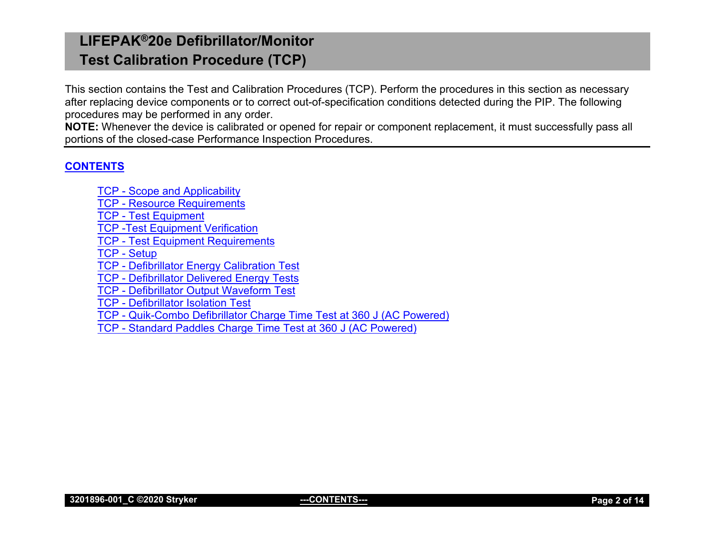This section contains the Test and Calibration Procedures (TCP). Perform the procedures in this section as necessary after replacing device components or to correct out-of-specification conditions detected during the PIP. The following procedures may be performed in any order.

**NOTE:** Whenever the device is calibrated or opened for repair or component replacement, it must successfully pass all portions of the closed-case Performance Inspection Procedures.

## <span id="page-1-0"></span>**[CONTENTS](#page-1-0)**

TCP - [Scope and Applicability](#page-2-0) TCP - [Resource Requirements](#page-2-1) TCP - [Test Equipment](#page-2-2) [TCP -Test Equipment Verification](#page-2-3) TCP - [Test Equipment Requirements](#page-3-0) TCP - [Setup](#page-4-0) TCP - [Defibrillator Energy Calibration Test](#page-5-0) TCP - [Defibrillator Delivered](#page-7-0) Energy Tests TCP - [Defibrillator Output Waveform Test](#page-8-0) TCP - [Defibrillator Isolation Test](#page-9-0) TCP - [Quik-Combo Defibrillator Charge Time Test at 360 J \(AC Powered\)](#page-10-0) TCP - [Standard Paddles Charge Time Test at 360 J \(AC Powered\)](#page-12-0)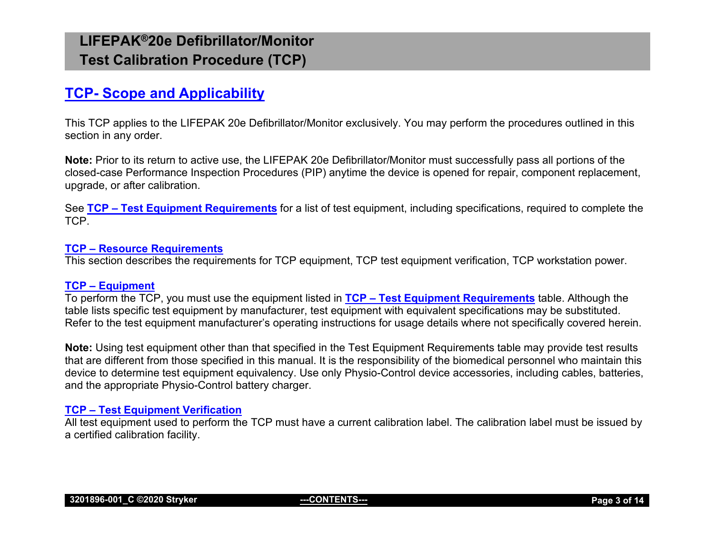## <span id="page-2-0"></span>**TCP- [Scope and Applicability](#page-2-0)**

This TCP applies to the LIFEPAK 20e Defibrillator/Monitor exclusively. You may perform the procedures outlined in this section in any order.

**Note:** Prior to its return to active use, the LIFEPAK 20e Defibrillator/Monitor must successfully pass all portions of the closed-case Performance Inspection Procedures (PIP) anytime the device is opened for repair, component replacement, upgrade, or after calibration.

See **TCP – [Test Equipment Requirements](#page-3-0)** for a list of test equipment, including specifications, required to complete the TCP.

#### <span id="page-2-1"></span>**TCP – [Resource Requirements](#page-2-0)**

This section describes the requirements for TCP equipment, TCP test equipment verification, TCP workstation power.

#### <span id="page-2-2"></span>**TCP – [Equipment](#page-2-2)**

To perform the TCP, you must use the equipment listed in **TCP – [Test Equipment Requirements](#page-3-0)** table. Although the table lists specific test equipment by manufacturer, test equipment with equivalent specifications may be substituted. Refer to the test equipment manufacturer's operating instructions for usage details where not specifically covered herein.

**Note:** Using test equipment other than that specified in the Test Equipment Requirements table may provide test results that are different from those specified in this manual. It is the responsibility of the biomedical personnel who maintain this device to determine test equipment equivalency. Use only Physio-Control device accessories, including cables, batteries, and the appropriate Physio-Control battery charger.

#### <span id="page-2-3"></span>**TCP – [Test Equipment Verification](#page-2-3)**

All test equipment used to perform the TCP must have a current calibration label. The calibration label must be issued by a certified calibration facility.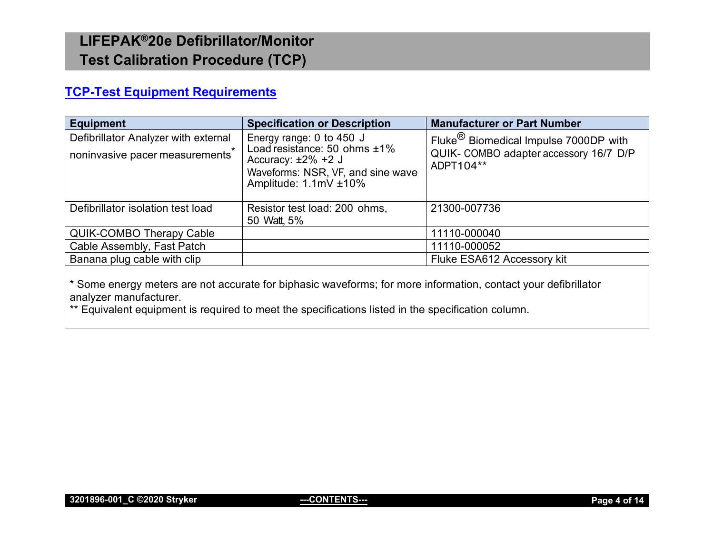## <span id="page-3-0"></span>**[TCP-Test Equipment Requirements](#page-3-0)**

| Equipment                                                               | <b>Specification or Description</b>                                                                                                                   | <b>Manufacturer or Part Number</b>                                                                         |
|-------------------------------------------------------------------------|-------------------------------------------------------------------------------------------------------------------------------------------------------|------------------------------------------------------------------------------------------------------------|
| Defibrillator Analyzer with external<br>noninvasive pacer measurements* | Energy range: 0 to 450 J<br>Load resistance: 50 ohms $±1\%$<br>Accuracy: $\pm 2\%$ +2 J<br>Waveforms: NSR, VF, and sine wave<br>Amplitude: 1.1mV ±10% | Fluke <sup>(8)</sup> Biomedical Impulse 7000DP with<br>QUIK- COMBO adapter accessory 16/7 D/P<br>ADPT104** |
| Defibrillator isolation test load                                       | Resistor test load: 200 ohms,<br>50 Watt, 5%                                                                                                          | 21300-007736                                                                                               |
| <b>QUIK-COMBO Therapy Cable</b>                                         |                                                                                                                                                       | 11110-000040                                                                                               |
| Cable Assembly, Fast Patch                                              |                                                                                                                                                       | 11110-000052                                                                                               |
| Banana plug cable with clip                                             |                                                                                                                                                       | Fluke ESA612 Accessory kit                                                                                 |

\* Some energy meters are not accurate for biphasic waveforms; for more information, contact your defibrillator analyzer manufacturer.

\*\* Equivalent equipment is required to meet the specifications listed in the specification column.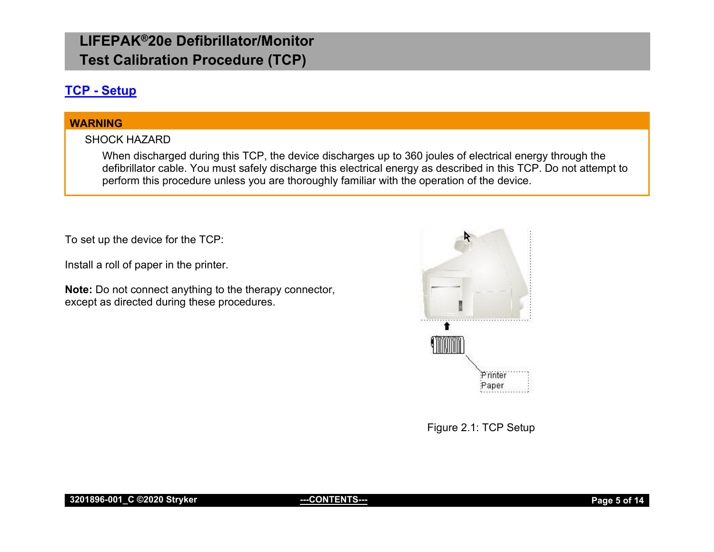## <span id="page-4-0"></span>**TCP - [Setup](#page-4-0)**

## **WARNING**

## SHOCK HAZARD

When discharged during this TCP, the device discharges up to 360 joules of electrical energy through the defibrillator cable. You must safely discharge this electrical energy as described in this TCP. Do not attempt to perform this procedure unless you are thoroughly familiar with the operation of the device.

To set up the device for the TCP:

Install a roll of paper in the printer.

**Note:** Do not connect anything to the therapy connector, except as directed during these procedures.



Figure 2.1: TCP Setup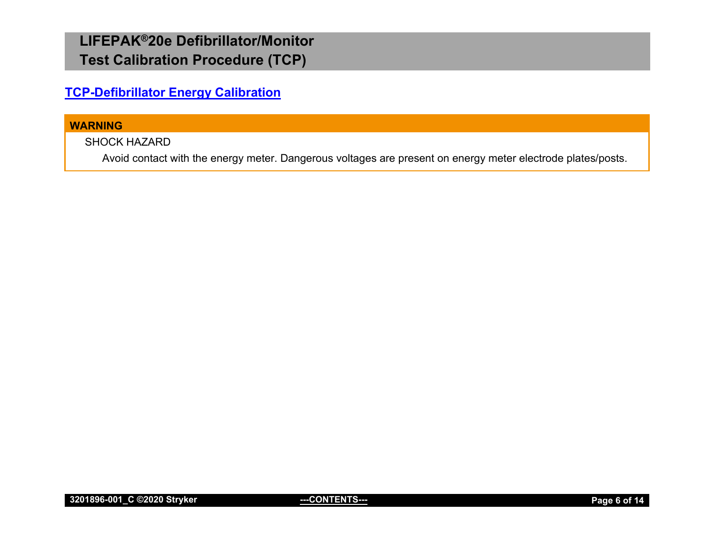<span id="page-5-0"></span>**[TCP-Defibrillator Energy Calibration](#page-5-0)**

#### **WARNING**

SHOCK HAZARD

Avoid contact with the energy meter. Dangerous voltages are present on energy meter electrode plates/posts.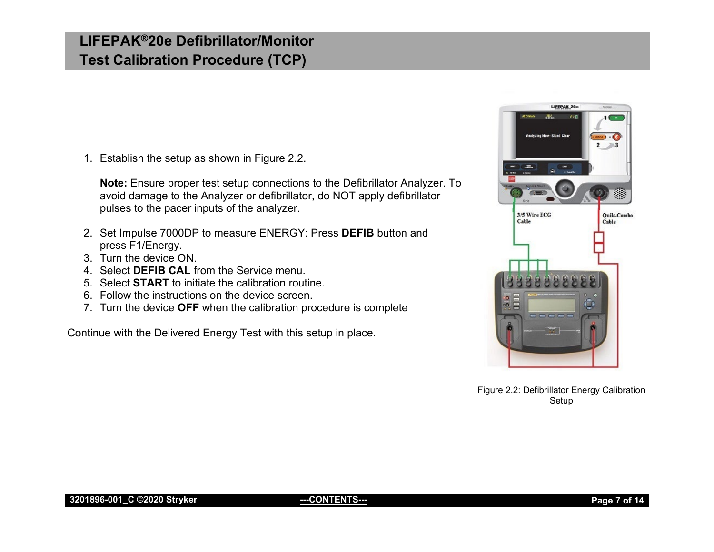1. Establish the setup as shown in Figure 2.2.

**Note:** Ensure proper test setup connections to the Defibrillator Analyzer. To avoid damage to the Analyzer or defibrillator, do NOT apply defibrillator pulses to the pacer inputs of the analyzer.

- 2. Set Impulse 7000DP to measure ENERGY: Press **DEFIB** button and press F1/Energy.
- 3. Turn the device ON.
- 4. Select **DEFIB CAL** from the Service menu.
- 5. Select **START** to initiate the calibration routine.
- 6. Follow the instructions on the device screen.
- 7. Turn the device **OFF** when the calibration procedure is complete

Continue with the Delivered Energy Test with this setup in place.



Figure 2.2: Defibrillator Energy Calibration Setup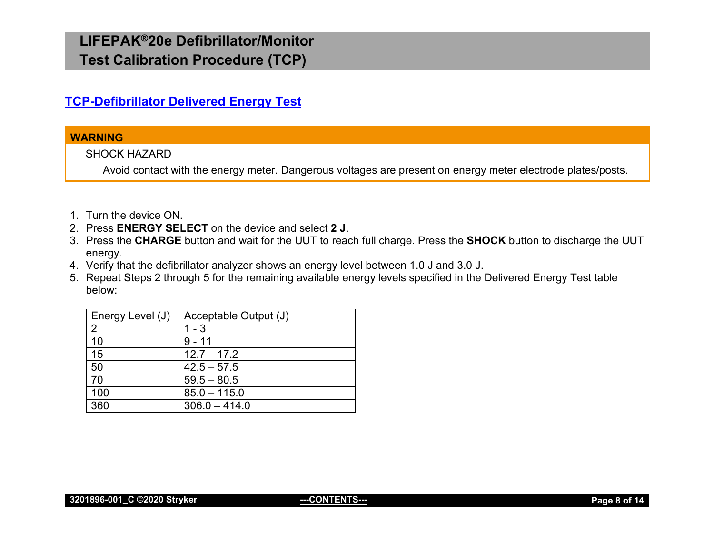## <span id="page-7-0"></span>**[TCP-Defibrillator Delivered Energy Test](#page-7-0)**

### **WARNING**

SHOCK HAZARD

Avoid contact with the energy meter. Dangerous voltages are present on energy meter electrode plates/posts.

- 1. Turn the device ON.
- 2. Press **ENERGY SELECT** on the device and select **2 J**.
- 3. Press the **CHARGE** button and wait for the UUT to reach full charge. Press the **SHOCK** button to discharge the UUT energy.
- 4. Verify that the defibrillator analyzer shows an energy level between 1.0 J and 3.0 J.
- 5. Repeat Steps 2 through 5 for the remaining available energy levels specified in the Delivered Energy Test table below:

| Energy Level (J) | Acceptable Output (J) |
|------------------|-----------------------|
| 2                | $1 - 3$               |
| 10               | $9 - 11$              |
| 15               | $12.7 - 17.2$         |
| 50               | $42.5 - 57.5$         |
| 70               | $59.5 - 80.5$         |
| 100              | $85.0 - 115.0$        |
| 360              | $306.0 - 414.0$       |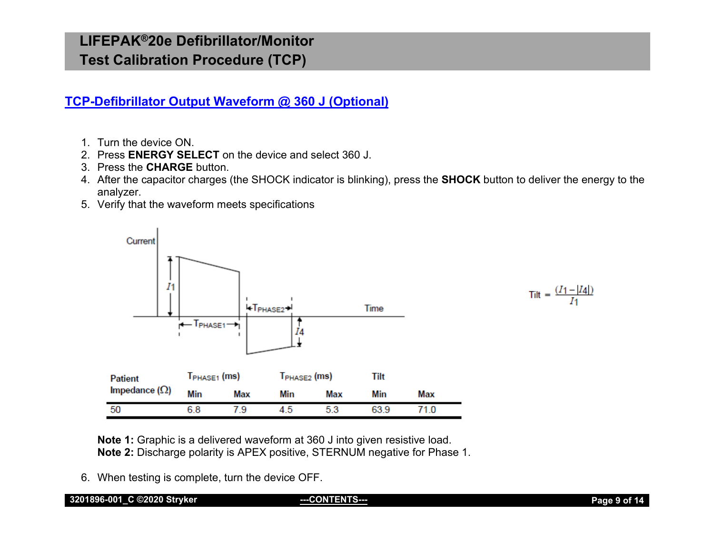<span id="page-8-0"></span>**[TCP-Defibrillator Output Waveform @ 360 J \(Optional\)](#page-8-0)**

- 1. Turn the device ON.
- 2. Press **ENERGY SELECT** on the device and select 360 J.
- 3. Press the **CHARGE** button.
- 4. After the capacitor charges (the SHOCK indicator is blinking), press the **SHOCK** button to deliver the energy to the analyzer.
- 5. Verify that the waveform meets specifications



Tilt =  $\frac{(I_1 - |I_4|)}{I_1}$ 

**Note 1:** Graphic is a delivered waveform at 360 J into given resistive load. **Note 2:** Discharge polarity is APEX positive, STERNUM negative for Phase 1.

6. When testing is complete, turn the device OFF.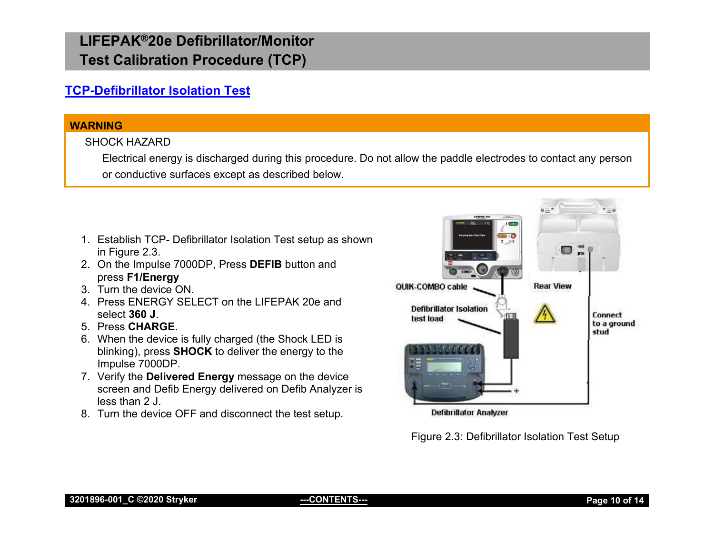## <span id="page-9-0"></span>**[TCP-Defibrillator Isolation Test](#page-9-0)**

#### **WARNING**

## SHOCK HAZARD

Electrical energy is discharged during this procedure. Do not allow the paddle electrodes to contact any person or conductive surfaces except as described below.

- 1. Establish TCP- Defibrillator Isolation Test setup as shown in Figure 2.3.
- 2. On the Impulse 7000DP, Press **DEFIB** button and press **F1/Energy**
- 3. Turn the device ON.
- 4. Press ENERGY SELECT on the LIFEPAK 20e and select **360 J**.
- 5. Press **CHARGE**.
- 6. When the device is fully charged (the Shock LED is blinking), press **SHOCK** to deliver the energy to the Impulse 7000DP.
- 7. Verify the **Delivered Energy** message on the device screen and Defib Energy delivered on Defib Analyzer is less than 2 J.
- 8. Turn the device OFF and disconnect the test setup.



**Defibrillator Analyzer** 

Figure 2.3: Defibrillator Isolation Test Setup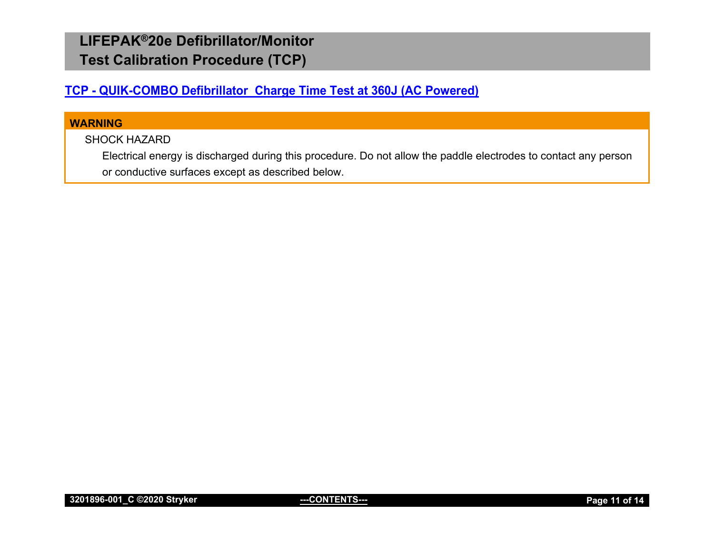## <span id="page-10-0"></span>**TCP - QUIK-COMBO Defibrillator Charge Time Test at 360J (AC Powered)**

## **WARNING**

## SHOCK HAZARD

Electrical energy is discharged during this procedure. Do not allow the paddle electrodes to contact any person or conductive surfaces except as described below.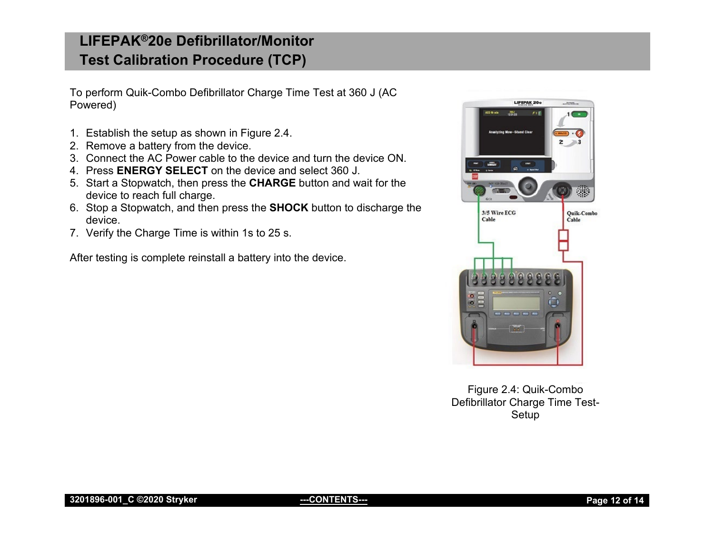To perform Quik-Combo Defibrillator Charge Time Test at 360 J (AC Powered)

- 1. Establish the setup as shown in Figure 2.4.
- 2. Remove a battery from the device.
- 3. Connect the AC Power cable to the device and turn the device ON.
- 4. Press **ENERGY SELECT** on the device and select 360 J.
- 5. Start a Stopwatch, then press the **CHARGE** button and wait for the device to reach full charge.
- 6. Stop a Stopwatch, and then press the **SHOCK** button to discharge the device.
- 7. Verify the Charge Time is within 1s to 25 s.

After testing is complete reinstall a battery into the device.



Figure 2.4: Quik-Combo Defibrillator Charge Time Test-Setup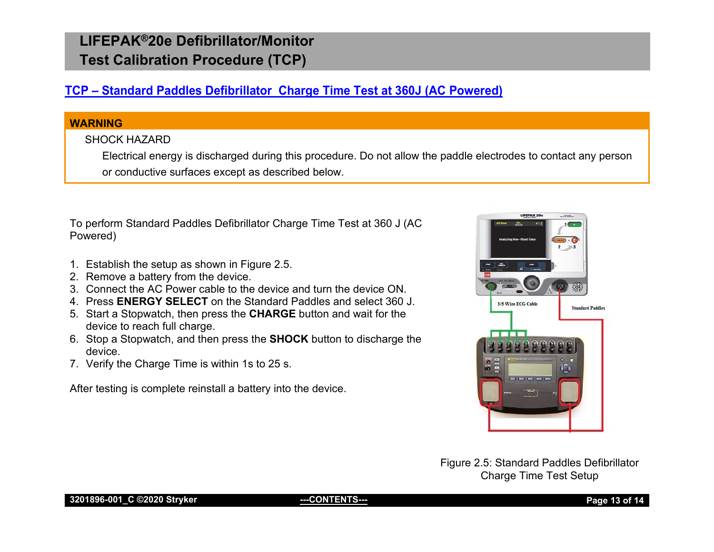## <span id="page-12-0"></span>**TCP – [Standard Paddles Defibrillator Charge Time Test](#page-12-0) at 360J (AC Powered)**

## **WARNING**

## SHOCK HAZARD

Electrical energy is discharged during this procedure. Do not allow the paddle electrodes to contact any person or conductive surfaces except as described below.

To perform Standard Paddles Defibrillator Charge Time Test at 360 J (AC Powered)

- 1. Establish the setup as shown in Figure 2.5.
- 2. Remove a battery from the device.
- 3. Connect the AC Power cable to the device and turn the device ON.
- 4. Press **ENERGY SELECT** on the Standard Paddles and select 360 J.
- 5. Start a Stopwatch, then press the **CHARGE** button and wait for the device to reach full charge.
- 6. Stop a Stopwatch, and then press the **SHOCK** button to discharge the device.
- 7. Verify the Charge Time is within 1s to 25 s.

After testing is complete reinstall a battery into the device.



Figure 2.5: Standard Paddles Defibrillator Charge Time Test Setup